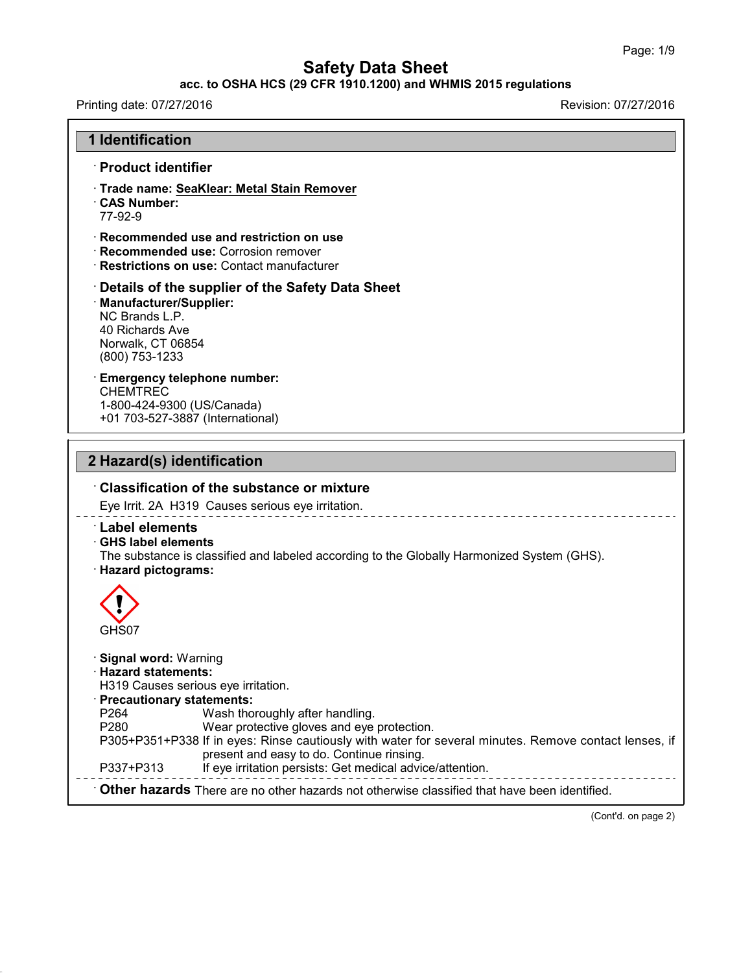## **acc. to OSHA HCS (29 CFR 1910.1200) and WHMIS 2015 regulations**

Printing date: 07/27/2016 **Revision: 07/27/2016** 

43.0

| <b>1 Identification</b>                                                                                                                                                                                                                                                                                                                                                                                                                                                 |  |  |
|-------------------------------------------------------------------------------------------------------------------------------------------------------------------------------------------------------------------------------------------------------------------------------------------------------------------------------------------------------------------------------------------------------------------------------------------------------------------------|--|--|
| · Product identifier                                                                                                                                                                                                                                                                                                                                                                                                                                                    |  |  |
| · Trade name: SeaKlear: Metal Stain Remover<br>CAS Number:<br>77-92-9                                                                                                                                                                                                                                                                                                                                                                                                   |  |  |
| $\cdot$ Recommended use and restriction on use<br>· Recommended use: Corrosion remover<br>· Restrictions on use: Contact manufacturer                                                                                                                                                                                                                                                                                                                                   |  |  |
| Details of the supplier of the Safety Data Sheet<br>· Manufacturer/Supplier:<br>NC Brands L.P.<br>40 Richards Ave<br>Norwalk, CT 06854<br>(800) 753-1233                                                                                                                                                                                                                                                                                                                |  |  |
| <b>Emergency telephone number:</b><br><b>CHEMTREC</b><br>1-800-424-9300 (US/Canada)<br>+01 703-527-3887 (International)                                                                                                                                                                                                                                                                                                                                                 |  |  |
| 2 Hazard(s) identification                                                                                                                                                                                                                                                                                                                                                                                                                                              |  |  |
| $\cdot$ Classification of the substance or mixture                                                                                                                                                                                                                                                                                                                                                                                                                      |  |  |
| Eye Irrit. 2A H319 Causes serious eye irritation.                                                                                                                                                                                                                                                                                                                                                                                                                       |  |  |
| <b>Label elements</b><br>⋅ GHS label elements                                                                                                                                                                                                                                                                                                                                                                                                                           |  |  |
| The substance is classified and labeled according to the Globally Harmonized System (GHS).<br>· Hazard pictograms:                                                                                                                                                                                                                                                                                                                                                      |  |  |
| GHS07                                                                                                                                                                                                                                                                                                                                                                                                                                                                   |  |  |
| · Signal word: Warning<br>$\cdot$ Hazard statements:<br>H319 Causes serious eye irritation.<br>· Precautionary statements:<br>P <sub>264</sub><br>Wash thoroughly after handling.<br>P280<br>Wear protective gloves and eye protection.<br>P305+P351+P338 If in eyes: Rinse cautiously with water for several minutes. Remove contact lenses, if<br>present and easy to do. Continue rinsing.<br>If eye irritation persists: Get medical advice/attention.<br>P337+P313 |  |  |

(Cont'd. on page 2)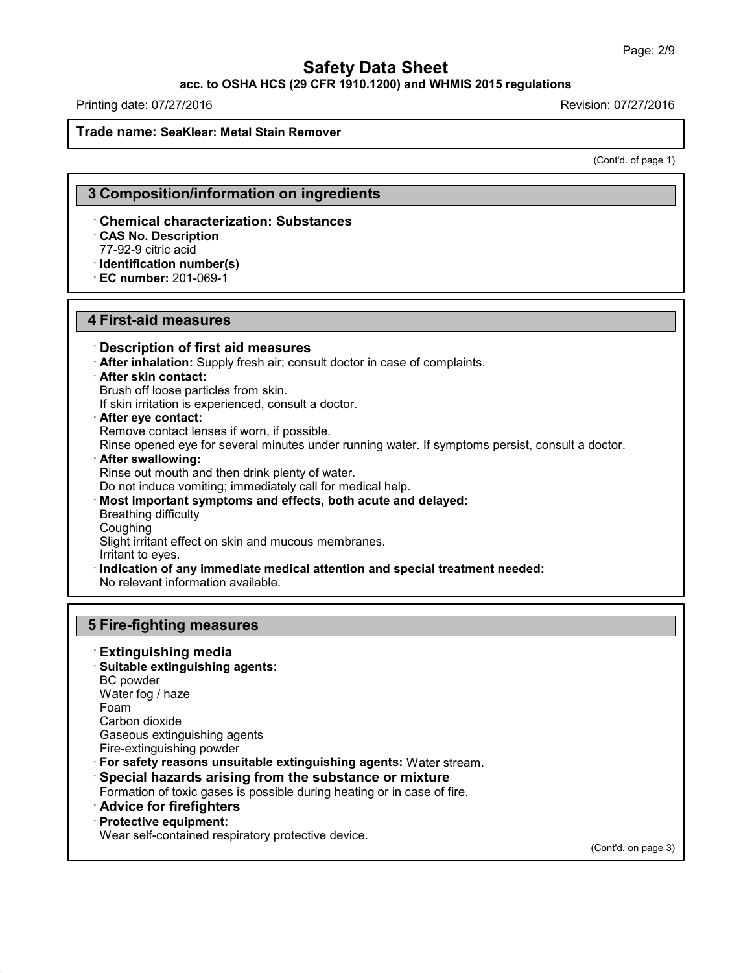## **acc. to OSHA HCS (29 CFR 1910.1200) and WHMIS 2015 regulations**

Printing date: 07/27/2016 Revision: 07/27/2016

#### **Trade name: SeaKlear: Metal Stain Remover**

(Cont'd. of page 1)

## **3 Composition/information on ingredients**

#### · **Chemical characterization: Substances**

· **CAS No. Description**

77-92-9 citric acid

· **Identification number(s)** · **EC number:** 201-069-1

## **4 First-aid measures**

· **Description of first aid measures** · **After inhalation:** Supply fresh air; consult doctor in case of complaints. · **After skin contact:** Brush off loose particles from skin. If skin irritation is experienced, consult a doctor. · **After eye contact:** Remove contact lenses if worn, if possible. Rinse opened eye for several minutes under running water. If symptoms persist, consult a doctor. · **After swallowing:** Rinse out mouth and then drink plenty of water. Do not induce vomiting; immediately call for medical help. · **Most important symptoms and effects, both acute and delayed:** Breathing difficulty **Coughing** Slight irritant effect on skin and mucous membranes. Irritant to eyes. · **Indication of any immediate medical attention and special treatment needed:** No relevant information available.

## **5 Fire-fighting measures**

- · **Extinguishing media**
- · **Suitable extinguishing agents:** BC powder Water fog / haze Foam Carbon dioxide Gaseous extinguishing agents
- Fire-extinguishing powder
- · **For safety reasons unsuitable extinguishing agents:** Water stream.
- · **Special hazards arising from the substance or mixture**

Formation of toxic gases is possible during heating or in case of fire.

#### · **Advice for firefighters**

#### · **Protective equipment:**

43.0

Wear self-contained respiratory protective device.

(Cont'd. on page 3)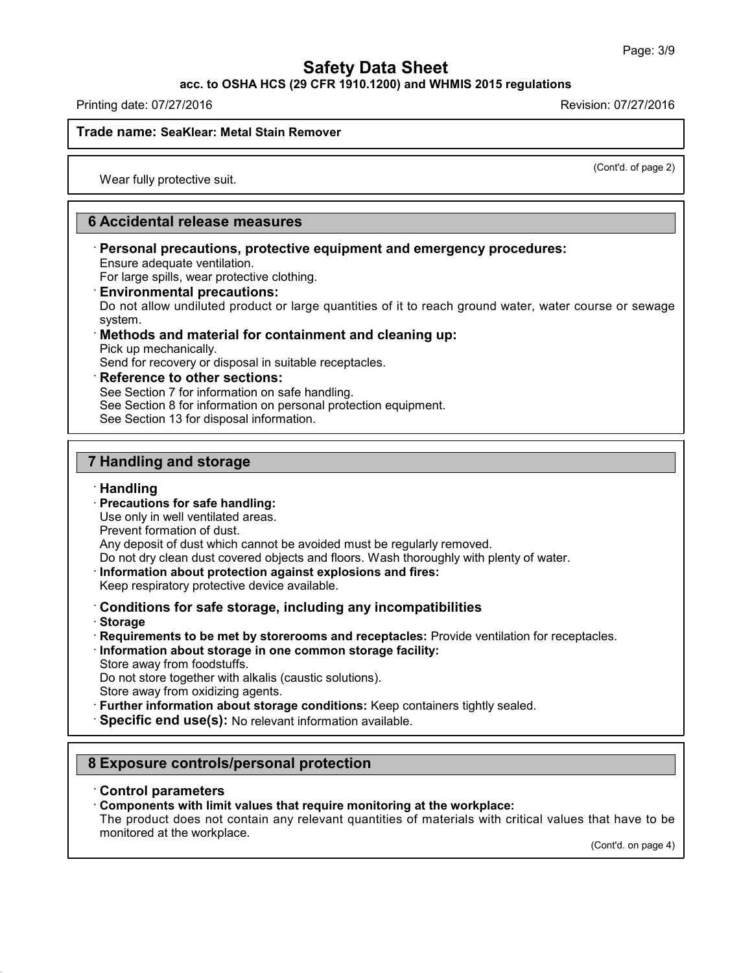**acc. to OSHA HCS (29 CFR 1910.1200) and WHMIS 2015 regulations**

Printing date: 07/27/2016 Revision: 07/27/2016

### **Trade name: SeaKlear: Metal Stain Remover**

(Cont'd. of page 2)

Wear fully protective suit.

## **6 Accidental release measures**

· **Personal precautions, protective equipment and emergency procedures:** Ensure adequate ventilation.

For large spills, wear protective clothing.

· **Environmental precautions:**

Do not allow undiluted product or large quantities of it to reach ground water, water course or sewage system.

## · **Methods and material for containment and cleaning up:**

Pick up mechanically.

Send for recovery or disposal in suitable receptacles.

### · **Reference to other sections:**

See Section 7 for information on safe handling.

See Section 8 for information on personal protection equipment.

See Section 13 for disposal information.

## **7 Handling and storage**

### · **Handling**

· **Precautions for safe handling:**

Use only in well ventilated areas.

Prevent formation of dust.

Any deposit of dust which cannot be avoided must be regularly removed.

- Do not dry clean dust covered objects and floors. Wash thoroughly with plenty of water.
- · **Information about protection against explosions and fires:**
- Keep respiratory protective device available.

## · **Conditions for safe storage, including any incompatibilities**

· **Storage**

43.0

- · **Requirements to be met by storerooms and receptacles:** Provide ventilation for receptacles.
- · **Information about storage in one common storage facility:**
- Store away from foodstuffs.

Do not store together with alkalis (caustic solutions).

- Store away from oxidizing agents.
- · **Further information about storage conditions:** Keep containers tightly sealed.

· **Specific end use(s):** No relevant information available.

## **8 Exposure controls/personal protection**

### · **Control parameters**

· **Components with limit values that require monitoring at the workplace:**

The product does not contain any relevant quantities of materials with critical values that have to be monitored at the workplace.

(Cont'd. on page 4)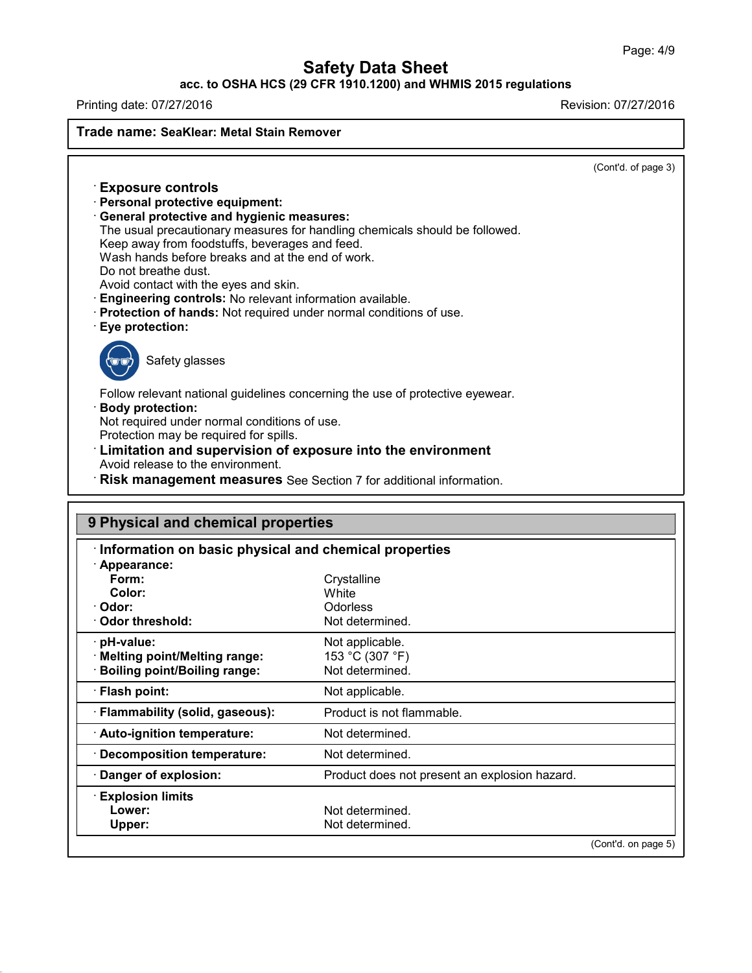## **acc. to OSHA HCS (29 CFR 1910.1200) and WHMIS 2015 regulations**

Printing date: 07/27/2016 **Revision: 07/27/2016** 

43.0

**Trade name: SeaKlear: Metal Stain Remover**

(Cont'd. of page 3)

| $\cdot$ Exposure controls<br>· Personal protective equipment:<br>General protective and hygienic measures:<br>The usual precautionary measures for handling chemicals should be followed.<br>Keep away from foodstuffs, beverages and feed.<br>Wash hands before breaks and at the end of work.<br>Do not breathe dust.<br>Avoid contact with the eyes and skin.<br>· Engineering controls: No relevant information available.<br>· Protection of hands: Not required under normal conditions of use.<br>· Eye protection: |
|----------------------------------------------------------------------------------------------------------------------------------------------------------------------------------------------------------------------------------------------------------------------------------------------------------------------------------------------------------------------------------------------------------------------------------------------------------------------------------------------------------------------------|
| Safety glasses                                                                                                                                                                                                                                                                                                                                                                                                                                                                                                             |
| Follow relevant national guidelines concerning the use of protective eyewear.<br>$\cdot$ Body protection:<br>Not required under normal conditions of use.<br>Protection may be required for spills.<br><b>Limitation and supervision of exposure into the environment</b><br>Avoid release to the environment.<br>$\cdot$ Diek management measures See Section 7 for additional information                                                                                                                                |
|                                                                                                                                                                                                                                                                                                                                                                                                                                                                                                                            |

· **Risk management measures** See Section 7 for additional information.

| 9 Physical and chemical properties<br>Information on basic physical and chemical properties |                                               |  |  |  |
|---------------------------------------------------------------------------------------------|-----------------------------------------------|--|--|--|
|                                                                                             |                                               |  |  |  |
| Form:                                                                                       | Crystalline                                   |  |  |  |
| Color:                                                                                      | White                                         |  |  |  |
| Odor:                                                                                       | <b>Odorless</b>                               |  |  |  |
| <b>Odor threshold:</b>                                                                      | Not determined.                               |  |  |  |
| · pH-value:                                                                                 | Not applicable.                               |  |  |  |
| · Melting point/Melting range:                                                              | 153 °C (307 °F)                               |  |  |  |
| <b>Boiling point/Boiling range:</b>                                                         | Not determined.                               |  |  |  |
| · Flash point:                                                                              | Not applicable.                               |  |  |  |
| · Flammability (solid, gaseous):                                                            | Product is not flammable.                     |  |  |  |
| · Auto-ignition temperature:                                                                | Not determined.                               |  |  |  |
| <b>Decomposition temperature:</b>                                                           | Not determined.                               |  |  |  |
| Danger of explosion:                                                                        | Product does not present an explosion hazard. |  |  |  |
| <b>Explosion limits</b>                                                                     |                                               |  |  |  |
| Lower:                                                                                      | Not determined.                               |  |  |  |
| Upper:                                                                                      | Not determined.                               |  |  |  |
|                                                                                             | (Cont'd. on page 5)                           |  |  |  |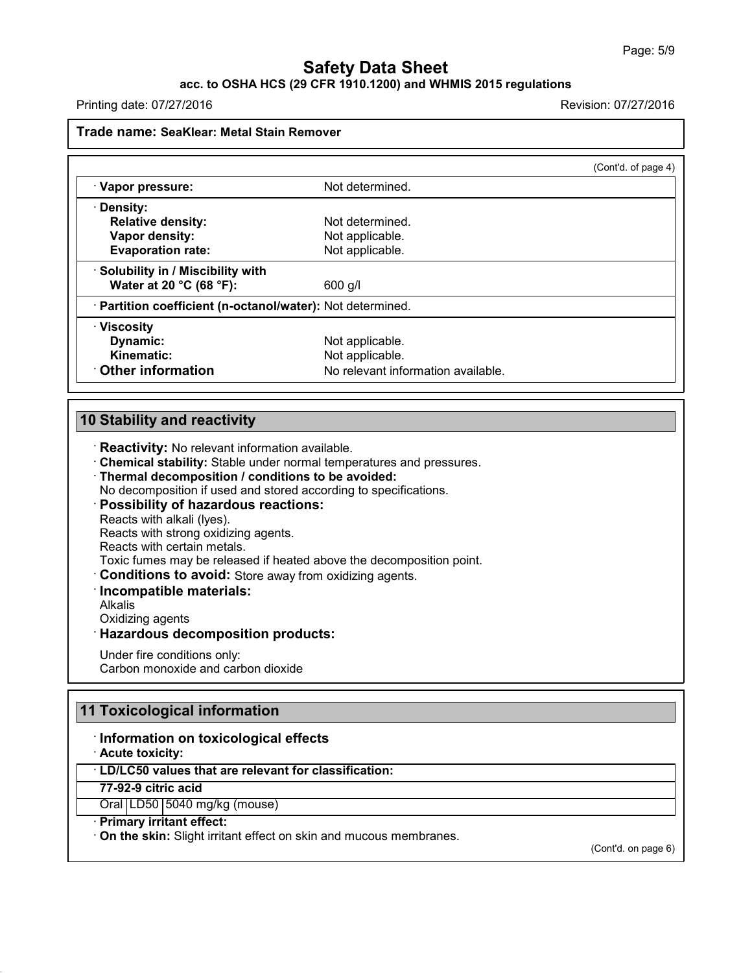## **acc. to OSHA HCS (29 CFR 1910.1200) and WHMIS 2015 regulations**

Printing date: 07/27/2016 Revision: 07/27/2016

## **Trade name: SeaKlear: Metal Stain Remover**

|                                                            |                                    | (Cont'd. of page 4) |
|------------------------------------------------------------|------------------------------------|---------------------|
| · Vapor pressure:                                          | Not determined.                    |                     |
| · Density:                                                 |                                    |                     |
| <b>Relative density:</b>                                   | Not determined.                    |                     |
| Vapor density:                                             | Not applicable.                    |                     |
| <b>Evaporation rate:</b>                                   | Not applicable.                    |                     |
| · Solubility in / Miscibility with                         |                                    |                     |
| Water at 20 °C (68 °F):                                    | 600 g/l                            |                     |
| · Partition coefficient (n-octanol/water): Not determined. |                                    |                     |
| $\cdot$ Viscosity                                          |                                    |                     |
| Dynamic:                                                   | Not applicable.                    |                     |
| Kinematic:                                                 | Not applicable.                    |                     |
| Other information                                          | No relevant information available. |                     |

## **10 Stability and reactivity**

· **Reactivity:** No relevant information available.

· **Chemical stability:** Stable under normal temperatures and pressures.

· **Thermal decomposition / conditions to be avoided:**

No decomposition if used and stored according to specifications.

- · **Possibility of hazardous reactions:**
- Reacts with alkali (lyes).

Reacts with strong oxidizing agents.

Reacts with certain metals.

Toxic fumes may be released if heated above the decomposition point.

- · **Conditions to avoid:** Store away from oxidizing agents.
- · **Incompatible materials:**

Alkalis

Oxidizing agents

· **Hazardous decomposition products:**

Under fire conditions only: Carbon monoxide and carbon dioxide

## **11 Toxicological information**

#### · **Information on toxicological effects**

· **Acute toxicity:**

43.0

## · **LD/LC50 values that are relevant for classification:**

**77-92-9 citric acid**

Oral | LD50 | 5040 mg/kg (mouse)

#### · **Primary irritant effect:**

· **On the skin:** Slight irritant effect on skin and mucous membranes.

(Cont'd. on page 6)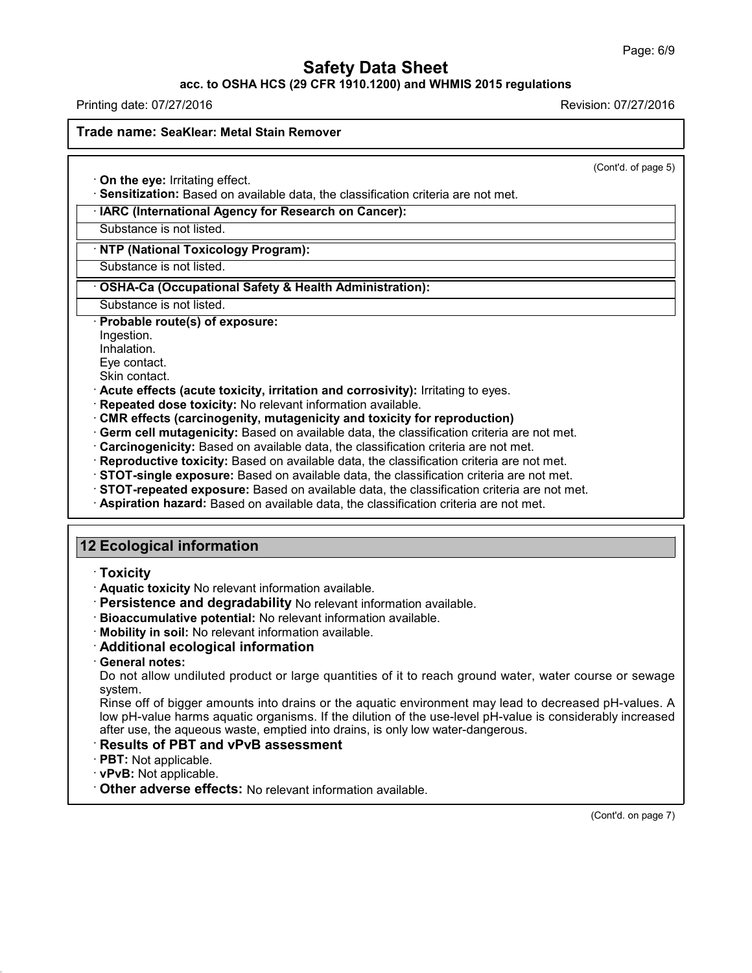**acc. to OSHA HCS (29 CFR 1910.1200) and WHMIS 2015 regulations**

Printing date: 07/27/2016 Revision: 07/27/2016

### **Trade name: SeaKlear: Metal Stain Remover**

(Cont'd. of page 5)

· **On the eye:** Irritating effect.

· **Sensitization:** Based on available data, the classification criteria are not met.

· **IARC (International Agency for Research on Cancer):**

Substance is not listed.

· **NTP (National Toxicology Program):**

Substance is not listed.

## · **OSHA-Ca (Occupational Safety & Health Administration):**

Substance is not listed.

## · **Probable route(s) of exposure:**

Ingestion.

Inhalation.

Eye contact.

Skin contact.

- · **Acute effects (acute toxicity, irritation and corrosivity):** Irritating to eyes.
- · **Repeated dose toxicity:** No relevant information available.
- · **CMR effects (carcinogenity, mutagenicity and toxicity for reproduction)**
- · **Germ cell mutagenicity:** Based on available data, the classification criteria are not met.
- · **Carcinogenicity:** Based on available data, the classification criteria are not met.
- · **Reproductive toxicity:** Based on available data, the classification criteria are not met.
- · **STOT-single exposure:** Based on available data, the classification criteria are not met.
- · **STOT-repeated exposure:** Based on available data, the classification criteria are not met.
- · **Aspiration hazard:** Based on available data, the classification criteria are not met.

## **12 Ecological information**

- · **Toxicity**
- · **Aquatic toxicity** No relevant information available.
- · **Persistence and degradability** No relevant information available.
- · **Bioaccumulative potential:** No relevant information available.
- · **Mobility in soil:** No relevant information available.
- · **Additional ecological information**
- · **General notes:**

Do not allow undiluted product or large quantities of it to reach ground water, water course or sewage system.

Rinse off of bigger amounts into drains or the aquatic environment may lead to decreased pH-values. A low pH-value harms aquatic organisms. If the dilution of the use-level pH-value is considerably increased after use, the aqueous waste, emptied into drains, is only low water-dangerous.

## · **Results of PBT and vPvB assessment**

- · **PBT:** Not applicable.
- · **vPvB:** Not applicable.

43.0

· **Other adverse effects:** No relevant information available.

(Cont'd. on page 7)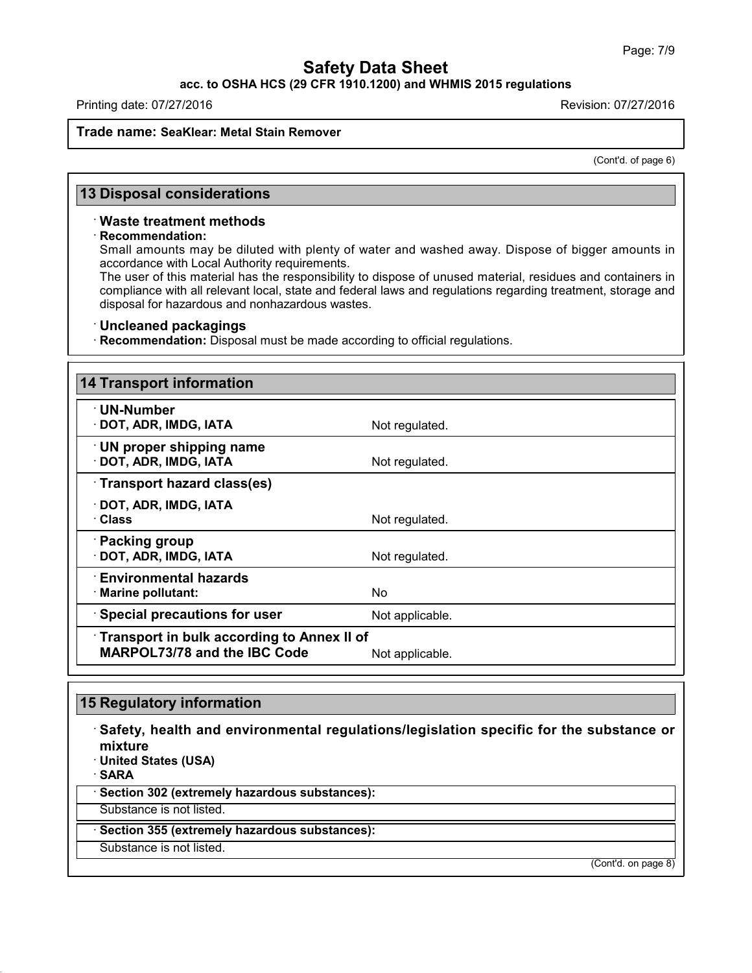**acc. to OSHA HCS (29 CFR 1910.1200) and WHMIS 2015 regulations**

Printing date: 07/27/2016 Revision: 07/27/2016

## **Trade name: SeaKlear: Metal Stain Remover**

(Cont'd. of page 6)

## **13 Disposal considerations**

#### · **Waste treatment methods**

#### · **Recommendation:**

Small amounts may be diluted with plenty of water and washed away. Dispose of bigger amounts in accordance with Local Authority requirements.

The user of this material has the responsibility to dispose of unused material, residues and containers in compliance with all relevant local, state and federal laws and regulations regarding treatment, storage and disposal for hazardous and nonhazardous wastes.

### · **Uncleaned packagings**

· **Recommendation:** Disposal must be made according to official regulations.

| <b>14 Transport information</b>                                                   |                 |
|-----------------------------------------------------------------------------------|-----------------|
| $\cdot$ UN-Number<br>· DOT, ADR, IMDG, IATA                                       | Not regulated.  |
| <b>UN proper shipping name</b><br>· DOT, ADR, IMDG, IATA                          | Not regulated.  |
| Transport hazard class(es)                                                        |                 |
| $\cdot$ DOT, ADR, IMDG, IATA<br>· Class                                           | Not regulated.  |
| · Packing group<br>· DOT, ADR, IMDG, IATA                                         | Not regulated.  |
| $\cdot$ Environmental hazards<br>· Marine pollutant:                              | No.             |
| · Special precautions for user                                                    | Not applicable. |
| Transport in bulk according to Annex II of<br><b>MARPOL73/78 and the IBC Code</b> | Not applicable. |

# **15 Regulatory information**

43.0

· **Safety, health and environmental regulations/legislation specific for the substance or mixture** · **United States (USA)** · **SARA** · **Section 302 (extremely hazardous substances):** Substance is not listed. · **Section 355 (extremely hazardous substances):** Substance is not listed.

(Cont'd. on page 8)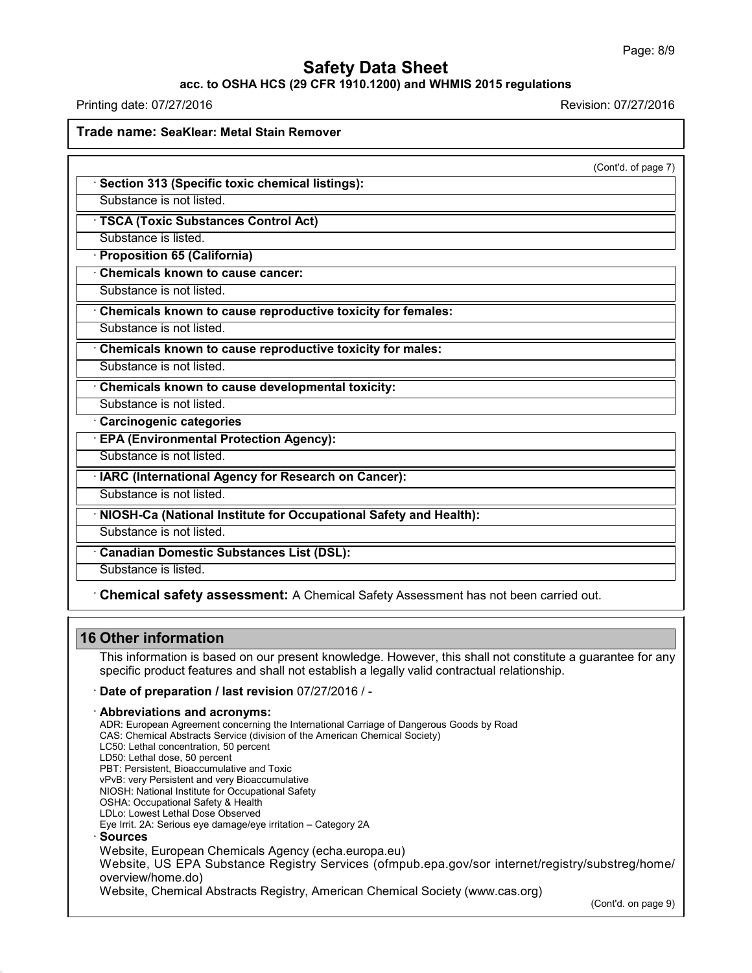#### **acc. to OSHA HCS (29 CFR 1910.1200) and WHMIS 2015 regulations**

Printing date: 07/27/2016 Revision: 07/27/2016 **Trade name: SeaKlear: Metal Stain Remover** (Cont'd. of page 7) · **Section 313 (Specific toxic chemical listings):** Substance is not listed. · **TSCA (Toxic Substances Control Act)** Substance is listed. · **Proposition 65 (California)** · **Chemicals known to cause cancer:** Substance is not listed. · **Chemicals known to cause reproductive toxicity for females:** Substance is not listed. · **Chemicals known to cause reproductive toxicity for males:** Substance is not listed. · **Chemicals known to cause developmental toxicity:** Substance is not listed. · **Carcinogenic categories** · **EPA (Environmental Protection Agency):** Substance is not listed. · **IARC (International Agency for Research on Cancer):** Substance is not listed. · **NIOSH-Ca (National Institute for Occupational Safety and Health):** Substance is not listed. · **Canadian Domestic Substances List (DSL):** Substance is listed. · **Chemical safety assessment:** A Chemical Safety Assessment has notbeen carried out.

## **16 Other information**

43.0

This information is based on our present knowledge. However, this shall not constitute a guarantee for any specific product features and shall not establish a legally valid contractual relationship.

· **Date of preparation / last revision** 07/27/2016 / -

· **Abbreviations and acronyms:**

ADR: European Agreement concerning the International Carriage of Dangerous Goods by Road CAS: Chemical Abstracts Service (division of the American Chemical Society) LC50: Lethal concentration, 50 percent LD50: Lethal dose, 50 percent PBT: Persistent, Bioaccumulative and Toxic vPvB: very Persistent and very Bioaccumulative NIOSH: National Institute for Occupational Safety OSHA: Occupational Safety & Health LDLo: Lowest Lethal Dose Observed Eye Irrit.2A: Serious eye damage/eye irritation – Category 2A · **Sources** Website, European Chemicals Agency (echa.europa.eu) Website, US EPA Substance Registry Services (ofmpub.epa.gov/sor internet/registry/substreg/home/ overview/home.do) Website, Chemical Abstracts Registry, American Chemical Society (www.cas.org)

(Cont'd. on page 9)